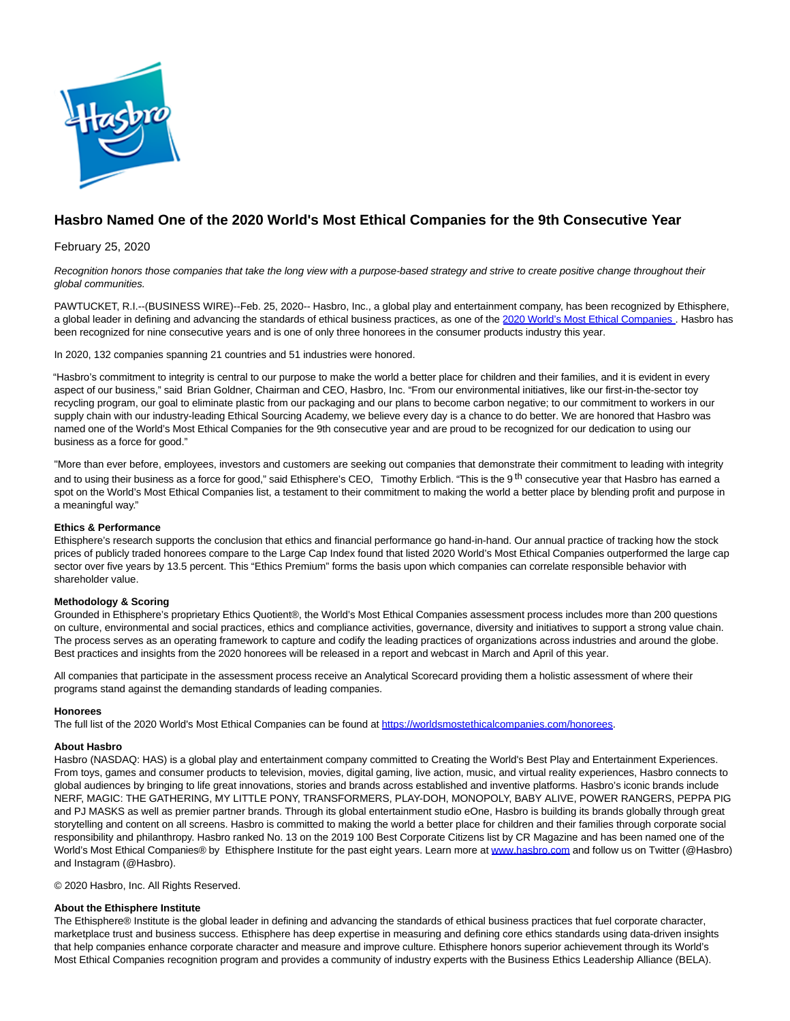

# **Hasbro Named One of the 2020 World's Most Ethical Companies for the 9th Consecutive Year**

February 25, 2020

Recognition honors those companies that take the long view with a purpose-based strategy and strive to create positive change throughout their global communities.

PAWTUCKET, R.I.--(BUSINESS WIRE)--Feb. 25, 2020-- Hasbro, Inc., a global play and entertainment company, has been recognized by Ethisphere, a global leader in defining and advancing the standards of ethical business practices, as one of the [2020 World's Most Ethical Companies](https://cts.businesswire.com/ct/CT?id=smartlink&url=https%3A%2F%2Fworldsmostethicalcompanies.com%2Fhonorees&esheet=52179476&newsitemid=20200225006024&lan=en-US&anchor=2020+World%26%238217%3Bs+Most+Ethical+Companies&index=1&md5=45f723993a6dcda1ba202c476157cbc0). Hasbro has been recognized for nine consecutive years and is one of only three honorees in the consumer products industry this year.

In 2020, 132 companies spanning 21 countries and 51 industries were honored.

"Hasbro's commitment to integrity is central to our purpose to make the world a better place for children and their families, and it is evident in every aspect of our business," said Brian Goldner, Chairman and CEO, Hasbro, Inc. "From our environmental initiatives, like our first-in-the-sector toy recycling program, our goal to eliminate plastic from our packaging and our plans to become carbon negative; to our commitment to workers in our supply chain with our industry-leading Ethical Sourcing Academy, we believe every day is a chance to do better. We are honored that Hasbro was named one of the World's Most Ethical Companies for the 9th consecutive year and are proud to be recognized for our dedication to using our business as a force for good."

"More than ever before, employees, investors and customers are seeking out companies that demonstrate their commitment to leading with integrity and to using their business as a force for good," said Ethisphere's CEO, Timothy Erblich. "This is the 9<sup>th</sup> consecutive year that Hasbro has earned a spot on the World's Most Ethical Companies list, a testament to their commitment to making the world a better place by blending profit and purpose in a meaningful way."

## **Ethics & Performance**

Ethisphere's research supports the conclusion that ethics and financial performance go hand-in-hand. Our annual practice of tracking how the stock prices of publicly traded honorees compare to the Large Cap Index found that listed 2020 World's Most Ethical Companies outperformed the large cap sector over five years by 13.5 percent. This "Ethics Premium" forms the basis upon which companies can correlate responsible behavior with shareholder value.

## **Methodology & Scoring**

Grounded in Ethisphere's proprietary Ethics Quotient®, the World's Most Ethical Companies assessment process includes more than 200 questions on culture, environmental and social practices, ethics and compliance activities, governance, diversity and initiatives to support a strong value chain. The process serves as an operating framework to capture and codify the leading practices of organizations across industries and around the globe. Best practices and insights from the 2020 honorees will be released in a report and webcast in March and April of this year.

All companies that participate in the assessment process receive an Analytical Scorecard providing them a holistic assessment of where their programs stand against the demanding standards of leading companies.

## **Honorees**

The full list of the 2020 World's Most Ethical Companies can be found a[t https://worldsmostethicalcompanies.com/honorees.](https://cts.businesswire.com/ct/CT?id=smartlink&url=https%3A%2F%2Fworldsmostethicalcompanies.com%2Fhonorees&esheet=52179476&newsitemid=20200225006024&lan=en-US&anchor=https%3A%2F%2Fworldsmostethicalcompanies.com%2Fhonorees&index=2&md5=8aa2090718d2695825d8e33f257e7d9e)

## **About Hasbro**

Hasbro (NASDAQ: HAS) is a global play and entertainment company committed to Creating the World's Best Play and Entertainment Experiences. From toys, games and consumer products to television, movies, digital gaming, live action, music, and virtual reality experiences, Hasbro connects to global audiences by bringing to life great innovations, stories and brands across established and inventive platforms. Hasbro's iconic brands include NERF, MAGIC: THE GATHERING, MY LITTLE PONY, TRANSFORMERS, PLAY-DOH, MONOPOLY, BABY ALIVE, POWER RANGERS, PEPPA PIG and PJ MASKS as well as premier partner brands. Through its global entertainment studio eOne, Hasbro is building its brands globally through great storytelling and content on all screens. Hasbro is committed to making the world a better place for children and their families through corporate social responsibility and philanthropy. Hasbro ranked No. 13 on the 2019 100 Best Corporate Citizens list by CR Magazine and has been named one of the World's Most Ethical Companies® by Ethisphere Institute for the past eight years. Learn more at [www.hasbro.com a](https://cts.businesswire.com/ct/CT?id=smartlink&url=http%3A%2F%2Fwww.hasbro.com&esheet=52179476&newsitemid=20200225006024&lan=en-US&anchor=www.hasbro.com&index=3&md5=107e8912c46a9fd4c955c6c0de56532a)nd follow us on Twitter (@Hasbro) and Instagram (@Hasbro).

© 2020 Hasbro, Inc. All Rights Reserved.

## **About the Ethisphere Institute**

The Ethisphere® Institute is the global leader in defining and advancing the standards of ethical business practices that fuel corporate character, marketplace trust and business success. Ethisphere has deep expertise in measuring and defining core ethics standards using data-driven insights that help companies enhance corporate character and measure and improve culture. Ethisphere honors superior achievement through its World's Most Ethical Companies recognition program and provides a community of industry experts with the Business Ethics Leadership Alliance (BELA).